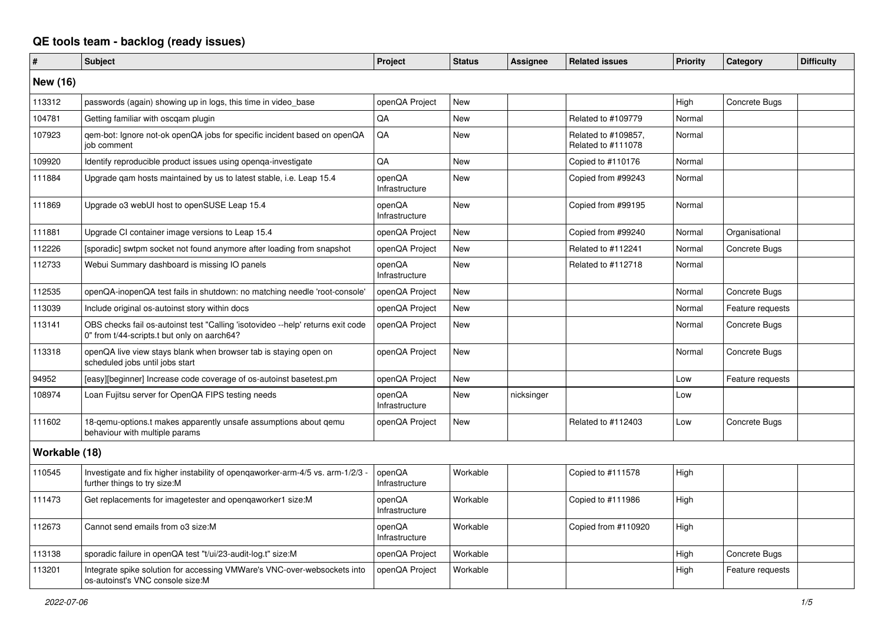## **QE tools team - backlog (ready issues)**

| #               | <b>Subject</b>                                                                                                                 | Project                  | <b>Status</b> | Assignee   | <b>Related issues</b>                     | <b>Priority</b> | Category         | <b>Difficulty</b> |
|-----------------|--------------------------------------------------------------------------------------------------------------------------------|--------------------------|---------------|------------|-------------------------------------------|-----------------|------------------|-------------------|
| <b>New (16)</b> |                                                                                                                                |                          |               |            |                                           |                 |                  |                   |
| 113312          | passwords (again) showing up in logs, this time in video_base                                                                  | openQA Project           | New           |            |                                           | High            | Concrete Bugs    |                   |
| 104781          | Getting familiar with oscgam plugin                                                                                            | QA                       | <b>New</b>    |            | Related to #109779                        | Normal          |                  |                   |
| 107923          | gem-bot: Ignore not-ok openQA jobs for specific incident based on openQA<br>iob comment                                        | QA                       | <b>New</b>    |            | Related to #109857,<br>Related to #111078 | Normal          |                  |                   |
| 109920          | Identify reproducible product issues using openga-investigate                                                                  | <b>OA</b>                | <b>New</b>    |            | Copied to #110176                         | Normal          |                  |                   |
| 111884          | Upgrade qam hosts maintained by us to latest stable, i.e. Leap 15.4                                                            | openQA<br>Infrastructure | <b>New</b>    |            | Copied from #99243                        | Normal          |                  |                   |
| 111869          | Upgrade o3 webUI host to openSUSE Leap 15.4                                                                                    | openQA<br>Infrastructure | <b>New</b>    |            | Copied from #99195                        | Normal          |                  |                   |
| 111881          | Upgrade CI container image versions to Leap 15.4                                                                               | openQA Project           | <b>New</b>    |            | Copied from #99240                        | Normal          | Organisational   |                   |
| 112226          | [sporadic] swtpm socket not found anymore after loading from snapshot                                                          | openQA Project           | New           |            | Related to #112241                        | Normal          | Concrete Bugs    |                   |
| 112733          | Webui Summary dashboard is missing IO panels                                                                                   | openQA<br>Infrastructure | New           |            | Related to #112718                        | Normal          |                  |                   |
| 112535          | openQA-inopenQA test fails in shutdown: no matching needle 'root-console'                                                      | openQA Project           | <b>New</b>    |            |                                           | Normal          | Concrete Bugs    |                   |
| 113039          | Include original os-autoinst story within docs                                                                                 | openQA Project           | <b>New</b>    |            |                                           | Normal          | Feature requests |                   |
| 113141          | OBS checks fail os-autoinst test "Calling 'isotovideo --help' returns exit code<br>0" from t/44-scripts.t but only on aarch64? | openQA Project           | <b>New</b>    |            |                                           | Normal          | Concrete Bugs    |                   |
| 113318          | openQA live view stays blank when browser tab is staying open on<br>scheduled jobs until jobs start                            | openQA Project           | <b>New</b>    |            |                                           | Normal          | Concrete Bugs    |                   |
| 94952           | [easy][beginner] Increase code coverage of os-autoinst basetest.pm                                                             | openQA Project           | <b>New</b>    |            |                                           | Low             | Feature requests |                   |
| 108974          | Loan Fujitsu server for OpenQA FIPS testing needs                                                                              | openQA<br>Infrastructure | <b>New</b>    | nicksinger |                                           | Low             |                  |                   |
| 111602          | 18-gemu-options.t makes apparently unsafe assumptions about gemu<br>behaviour with multiple params                             | openQA Project           | <b>New</b>    |            | Related to #112403                        | Low             | Concrete Bugs    |                   |
| Workable (18)   |                                                                                                                                |                          |               |            |                                           |                 |                  |                   |
| 110545          | Investigate and fix higher instability of opengaworker-arm-4/5 vs. arm-1/2/3 -<br>further things to try size:M                 | openQA<br>Infrastructure | Workable      |            | Copied to #111578                         | High            |                  |                   |
| 111473          | Get replacements for imagetester and openqaworker1 size:M                                                                      | openQA<br>Infrastructure | Workable      |            | Copied to #111986                         | High            |                  |                   |
| 112673          | Cannot send emails from o3 size:M                                                                                              | openQA<br>Infrastructure | Workable      |            | Copied from #110920                       | High            |                  |                   |
| 113138          | sporadic failure in openQA test "t/ui/23-audit-log.t" size:M                                                                   | openQA Project           | Workable      |            |                                           | High            | Concrete Bugs    |                   |
| 113201          | Integrate spike solution for accessing VMWare's VNC-over-websockets into<br>os-autoinst's VNC console size:M                   | openQA Project           | Workable      |            |                                           | High            | Feature requests |                   |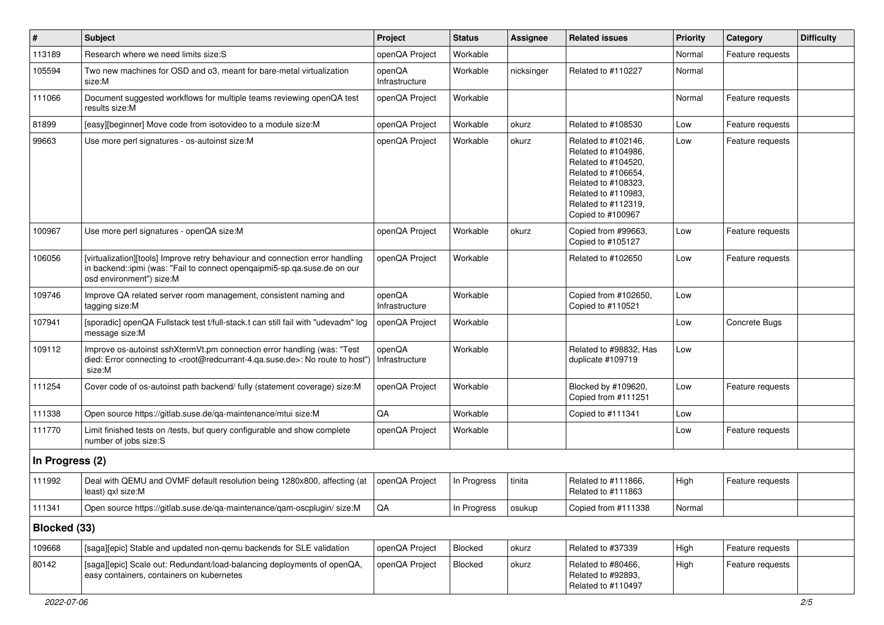| $\vert$ #       | <b>Subject</b>                                                                                                                                                                                    | Project                  | <b>Status</b> | Assignee   | <b>Related issues</b>                                                                                                                                                              | Priority | Category         | <b>Difficulty</b> |
|-----------------|---------------------------------------------------------------------------------------------------------------------------------------------------------------------------------------------------|--------------------------|---------------|------------|------------------------------------------------------------------------------------------------------------------------------------------------------------------------------------|----------|------------------|-------------------|
| 113189          | Research where we need limits size: S                                                                                                                                                             | openQA Project           | Workable      |            |                                                                                                                                                                                    | Normal   | Feature requests |                   |
| 105594          | Two new machines for OSD and o3, meant for bare-metal virtualization<br>size:M                                                                                                                    | openQA<br>Infrastructure | Workable      | nicksinger | Related to #110227                                                                                                                                                                 | Normal   |                  |                   |
| 111066          | Document suggested workflows for multiple teams reviewing openQA test<br>results size:M                                                                                                           | openQA Project           | Workable      |            |                                                                                                                                                                                    | Normal   | Feature requests |                   |
| 81899           | [easy][beginner] Move code from isotovideo to a module size: M                                                                                                                                    | openQA Project           | Workable      | okurz      | Related to #108530                                                                                                                                                                 | Low      | Feature requests |                   |
| 99663           | Use more perl signatures - os-autoinst size:M                                                                                                                                                     | openQA Project           | Workable      | okurz      | Related to #102146,<br>Related to #104986,<br>Related to #104520,<br>Related to #106654,<br>Related to #108323,<br>Related to #110983,<br>Related to #112319,<br>Copied to #100967 | Low      | Feature requests |                   |
| 100967          | Use more perl signatures - openQA size:M                                                                                                                                                          | openQA Project           | Workable      | okurz      | Copied from #99663,<br>Copied to #105127                                                                                                                                           | Low      | Feature requests |                   |
| 106056          | [virtualization][tools] Improve retry behaviour and connection error handling<br>in backend::ipmi (was: "Fail to connect opengaipmi5-sp.ga.suse.de on our<br>osd environment") size:M             | openQA Project           | Workable      |            | Related to #102650                                                                                                                                                                 | Low      | Feature requests |                   |
| 109746          | Improve QA related server room management, consistent naming and<br>tagging size:M                                                                                                                | openQA<br>Infrastructure | Workable      |            | Copied from #102650,<br>Copied to #110521                                                                                                                                          | Low      |                  |                   |
| 107941          | [sporadic] openQA Fullstack test t/full-stack.t can still fail with "udevadm" log<br>message size:M                                                                                               | openQA Project           | Workable      |            |                                                                                                                                                                                    | Low      | Concrete Bugs    |                   |
| 109112          | Improve os-autoinst sshXtermVt.pm connection error handling (was: "Test<br>died: Error connecting to <root@redcurrant-4.qa.suse.de>: No route to host")<br/>size:M</root@redcurrant-4.qa.suse.de> | openQA<br>Infrastructure | Workable      |            | Related to #98832, Has<br>duplicate #109719                                                                                                                                        | Low      |                  |                   |
| 111254          | Cover code of os-autoinst path backend/ fully (statement coverage) size:M                                                                                                                         | openQA Project           | Workable      |            | Blocked by #109620,<br>Copied from #111251                                                                                                                                         | Low      | Feature requests |                   |
| 111338          | Open source https://gitlab.suse.de/qa-maintenance/mtui size:M                                                                                                                                     | QA                       | Workable      |            | Copied to #111341                                                                                                                                                                  | Low      |                  |                   |
| 111770          | Limit finished tests on /tests, but query configurable and show complete<br>number of jobs size:S                                                                                                 | openQA Project           | Workable      |            |                                                                                                                                                                                    | Low      | Feature requests |                   |
| In Progress (2) |                                                                                                                                                                                                   |                          |               |            |                                                                                                                                                                                    |          |                  |                   |
| 111992          | Deal with QEMU and OVMF default resolution being 1280x800, affecting (at<br>least) qxl size:M                                                                                                     | openQA Project           | In Progress   | tinita     | Related to #111866,<br>Related to #111863                                                                                                                                          | High     | Feature requests |                   |
| 111341          | Open source https://gitlab.suse.de/qa-maintenance/qam-oscplugin/ size:M                                                                                                                           | $\mathsf{QA}$            | In Progress   | osukup     | Copied from #111338                                                                                                                                                                | Normal   |                  |                   |
| Blocked (33)    |                                                                                                                                                                                                   |                          |               |            |                                                                                                                                                                                    |          |                  |                   |
| 109668          | [saga][epic] Stable and updated non-gemu backends for SLE validation                                                                                                                              | openQA Project           | Blocked       | okurz      | Related to #37339                                                                                                                                                                  | High     | Feature requests |                   |
| 80142           | [saga][epic] Scale out: Redundant/load-balancing deployments of openQA,<br>easy containers, containers on kubernetes                                                                              | openQA Project           | Blocked       | okurz      | Related to #80466,<br>Related to #92893,<br>Related to #110497                                                                                                                     | High     | Feature requests |                   |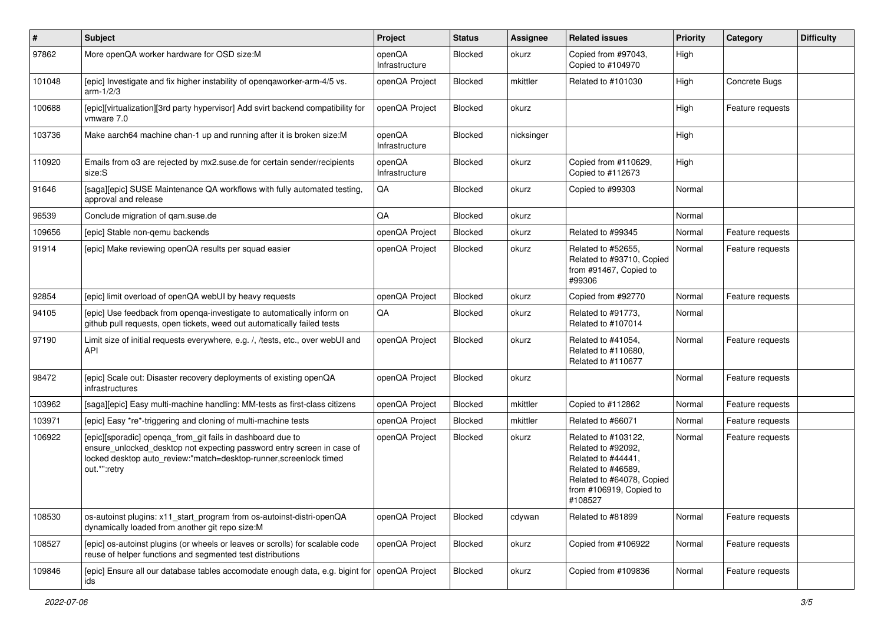| $\vert$ # | <b>Subject</b>                                                                                                                                                                                                            | Project                  | <b>Status</b>  | Assignee   | <b>Related issues</b>                                                                                                                                    | <b>Priority</b> | Category         | <b>Difficulty</b> |
|-----------|---------------------------------------------------------------------------------------------------------------------------------------------------------------------------------------------------------------------------|--------------------------|----------------|------------|----------------------------------------------------------------------------------------------------------------------------------------------------------|-----------------|------------------|-------------------|
| 97862     | More openQA worker hardware for OSD size:M                                                                                                                                                                                | openQA<br>Infrastructure | <b>Blocked</b> | okurz      | Copied from #97043,<br>Copied to #104970                                                                                                                 | High            |                  |                   |
| 101048    | [epic] Investigate and fix higher instability of opengaworker-arm-4/5 vs.<br>arm-1/2/3                                                                                                                                    | openQA Project           | Blocked        | mkittler   | Related to #101030                                                                                                                                       | High            | Concrete Bugs    |                   |
| 100688    | [epic][virtualization][3rd party hypervisor] Add svirt backend compatibility for<br>vmware 7.0                                                                                                                            | openQA Project           | <b>Blocked</b> | okurz      |                                                                                                                                                          | High            | Feature requests |                   |
| 103736    | Make aarch64 machine chan-1 up and running after it is broken size:M                                                                                                                                                      | openQA<br>Infrastructure | Blocked        | nicksinger |                                                                                                                                                          | High            |                  |                   |
| 110920    | Emails from o3 are rejected by mx2.suse.de for certain sender/recipients<br>size:S                                                                                                                                        | openQA<br>Infrastructure | Blocked        | okurz      | Copied from #110629,<br>Copied to #112673                                                                                                                | High            |                  |                   |
| 91646     | [saga][epic] SUSE Maintenance QA workflows with fully automated testing,<br>approval and release                                                                                                                          | QA                       | Blocked        | okurz      | Copied to #99303                                                                                                                                         | Normal          |                  |                   |
| 96539     | Conclude migration of gam.suse.de                                                                                                                                                                                         | QA                       | Blocked        | okurz      |                                                                                                                                                          | Normal          |                  |                   |
| 109656    | [epic] Stable non-gemu backends                                                                                                                                                                                           | openQA Project           | <b>Blocked</b> | okurz      | Related to #99345                                                                                                                                        | Normal          | Feature requests |                   |
| 91914     | [epic] Make reviewing openQA results per squad easier                                                                                                                                                                     | openQA Project           | Blocked        | okurz      | Related to #52655,<br>Related to #93710, Copied<br>from #91467, Copied to<br>#99306                                                                      | Normal          | Feature requests |                   |
| 92854     | [epic] limit overload of openQA webUI by heavy requests                                                                                                                                                                   | openQA Project           | Blocked        | okurz      | Copied from #92770                                                                                                                                       | Normal          | Feature requests |                   |
| 94105     | [epic] Use feedback from openqa-investigate to automatically inform on<br>github pull requests, open tickets, weed out automatically failed tests                                                                         | QA                       | Blocked        | okurz      | Related to #91773,<br>Related to #107014                                                                                                                 | Normal          |                  |                   |
| 97190     | Limit size of initial requests everywhere, e.g. /, /tests, etc., over webUI and<br><b>API</b>                                                                                                                             | openQA Project           | Blocked        | okurz      | Related to #41054,<br>Related to #110680,<br>Related to #110677                                                                                          | Normal          | Feature requests |                   |
| 98472     | [epic] Scale out: Disaster recovery deployments of existing openQA<br>infrastructures                                                                                                                                     | openQA Project           | Blocked        | okurz      |                                                                                                                                                          | Normal          | Feature requests |                   |
| 103962    | [saga][epic] Easy multi-machine handling: MM-tests as first-class citizens                                                                                                                                                | openQA Project           | Blocked        | mkittler   | Copied to #112862                                                                                                                                        | Normal          | Feature requests |                   |
| 103971    | [epic] Easy *re*-triggering and cloning of multi-machine tests                                                                                                                                                            | openQA Project           | <b>Blocked</b> | mkittler   | Related to #66071                                                                                                                                        | Normal          | Feature requests |                   |
| 106922    | [epic][sporadic] openqa_from_git fails in dashboard due to<br>ensure_unlocked_desktop not expecting password entry screen in case of<br>locked desktop auto_review:"match=desktop-runner,screenlock timed<br>out.*":retry | openQA Project           | Blocked        | okurz      | Related to #103122,<br>Related to #92092,<br>Related to #44441,<br>Related to #46589,<br>Related to #64078, Copied<br>from #106919, Copied to<br>#108527 | Normal          | Feature requests |                   |
| 108530    | os-autoinst plugins: x11_start_program from os-autoinst-distri-openQA<br>dynamically loaded from another git repo size:M                                                                                                  | openQA Project           | Blocked        | cdywan     | Related to #81899                                                                                                                                        | Normal          | Feature requests |                   |
| 108527    | [epic] os-autoinst plugins (or wheels or leaves or scrolls) for scalable code<br>reuse of helper functions and segmented test distributions                                                                               | openQA Project           | Blocked        | okurz      | Copied from #106922                                                                                                                                      | Normal          | Feature requests |                   |
| 109846    | [epic] Ensure all our database tables accomodate enough data, e.g. bigint for<br>ids                                                                                                                                      | openQA Project           | Blocked        | okurz      | Copied from #109836                                                                                                                                      | Normal          | Feature requests |                   |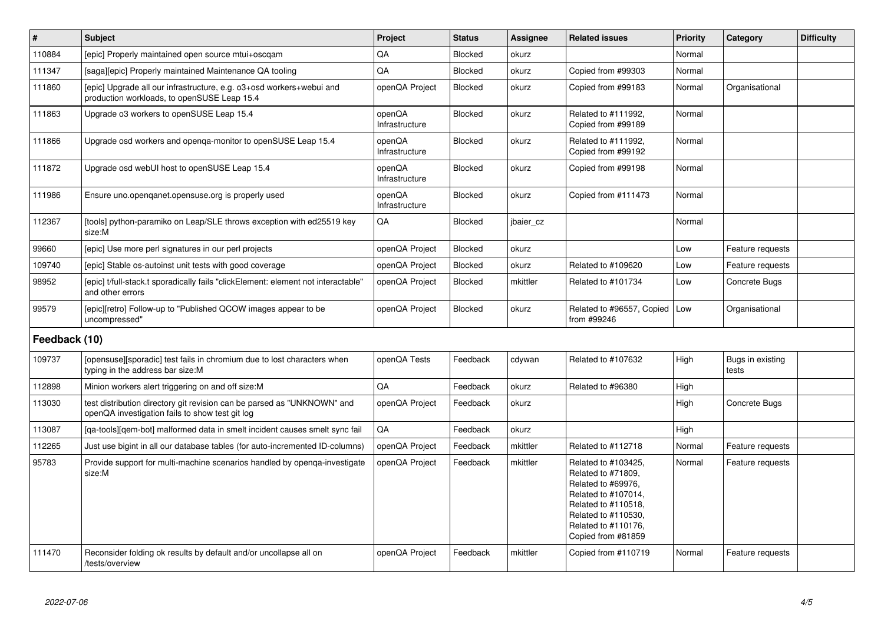| $\vert$ #     | <b>Subject</b>                                                                                                             | <b>Project</b>           | <b>Status</b>  | <b>Assignee</b> | <b>Related issues</b>                                                                                                                                                             | <b>Priority</b> | Category                  | <b>Difficulty</b> |
|---------------|----------------------------------------------------------------------------------------------------------------------------|--------------------------|----------------|-----------------|-----------------------------------------------------------------------------------------------------------------------------------------------------------------------------------|-----------------|---------------------------|-------------------|
| 110884        | [epic] Properly maintained open source mtui+oscgam                                                                         | QA                       | <b>Blocked</b> | okurz           |                                                                                                                                                                                   | Normal          |                           |                   |
| 111347        | [saga][epic] Properly maintained Maintenance QA tooling                                                                    | QA                       | <b>Blocked</b> | okurz           | Copied from #99303                                                                                                                                                                | Normal          |                           |                   |
| 111860        | [epic] Upgrade all our infrastructure, e.g. o3+osd workers+webui and<br>production workloads, to openSUSE Leap 15.4        | openQA Project           | <b>Blocked</b> | okurz           | Copied from #99183                                                                                                                                                                | Normal          | Organisational            |                   |
| 111863        | Upgrade o3 workers to openSUSE Leap 15.4                                                                                   | openQA<br>Infrastructure | <b>Blocked</b> | okurz           | Related to #111992,<br>Copied from #99189                                                                                                                                         | Normal          |                           |                   |
| 111866        | Upgrade osd workers and openqa-monitor to openSUSE Leap 15.4                                                               | openQA<br>Infrastructure | Blocked        | okurz           | Related to #111992,<br>Copied from #99192                                                                                                                                         | Normal          |                           |                   |
| 111872        | Upgrade osd webUI host to openSUSE Leap 15.4                                                                               | openQA<br>Infrastructure | <b>Blocked</b> | okurz           | Copied from #99198                                                                                                                                                                | Normal          |                           |                   |
| 111986        | Ensure uno.openganet.opensuse.org is properly used                                                                         | openQA<br>Infrastructure | Blocked        | okurz           | Copied from #111473                                                                                                                                                               | Normal          |                           |                   |
| 112367        | [tools] python-paramiko on Leap/SLE throws exception with ed25519 key<br>size:M                                            | QA                       | Blocked        | jbaier_cz       |                                                                                                                                                                                   | Normal          |                           |                   |
| 99660         | [epic] Use more perl signatures in our perl projects                                                                       | openQA Project           | <b>Blocked</b> | okurz           |                                                                                                                                                                                   | Low             | Feature requests          |                   |
| 109740        | [epic] Stable os-autoinst unit tests with good coverage                                                                    | openQA Project           | Blocked        | okurz           | Related to #109620                                                                                                                                                                | Low             | Feature requests          |                   |
| 98952         | [epic] t/full-stack.t sporadically fails "clickElement: element not interactable"<br>and other errors                      | openQA Project           | <b>Blocked</b> | mkittler        | Related to #101734                                                                                                                                                                | Low             | Concrete Bugs             |                   |
| 99579         | [epic][retro] Follow-up to "Published QCOW images appear to be<br>uncompressed"                                            | openQA Project           | <b>Blocked</b> | okurz           | Related to #96557, Copied<br>from #99246                                                                                                                                          | Low             | Organisational            |                   |
| Feedback (10) |                                                                                                                            |                          |                |                 |                                                                                                                                                                                   |                 |                           |                   |
| 109737        | [opensuse][sporadic] test fails in chromium due to lost characters when<br>typing in the address bar size:M                | openQA Tests             | Feedback       | cdywan          | Related to #107632                                                                                                                                                                | High            | Bugs in existing<br>tests |                   |
| 112898        | Minion workers alert triggering on and off size:M                                                                          | QA                       | Feedback       | okurz           | Related to #96380                                                                                                                                                                 | High            |                           |                   |
| 113030        | test distribution directory git revision can be parsed as "UNKNOWN" and<br>openQA investigation fails to show test git log | openQA Project           | Feedback       | okurz           |                                                                                                                                                                                   | High            | Concrete Bugs             |                   |
| 113087        | [ga-tools][gem-bot] malformed data in smelt incident causes smelt sync fail                                                | QA                       | Feedback       | okurz           |                                                                                                                                                                                   | High            |                           |                   |
| 112265        | Just use bigint in all our database tables (for auto-incremented ID-columns)                                               | openQA Project           | Feedback       | mkittler        | Related to #112718                                                                                                                                                                | Normal          | Feature requests          |                   |
| 95783         | Provide support for multi-machine scenarios handled by openga-investigate<br>size:M                                        | openQA Project           | Feedback       | mkittler        | Related to #103425,<br>Related to #71809,<br>Related to #69976,<br>Related to #107014,<br>Related to #110518,<br>Related to #110530,<br>Related to #110176,<br>Copied from #81859 | Normal          | Feature requests          |                   |
| 111470        | Reconsider folding ok results by default and/or uncollapse all on<br>/tests/overview                                       | openQA Project           | Feedback       | mkittler        | Copied from #110719                                                                                                                                                               | Normal          | Feature requests          |                   |